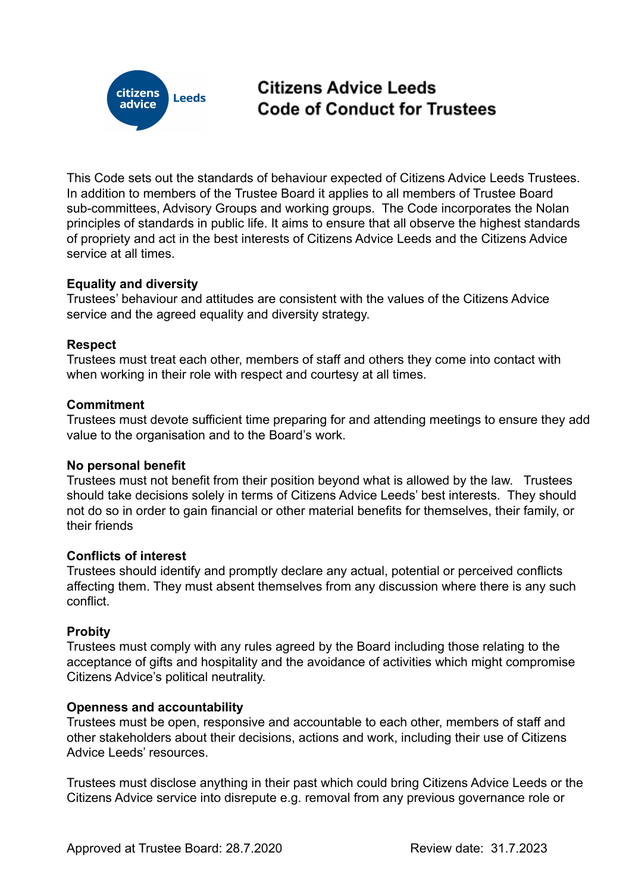

# Citizens Advice Leeds **Code of Conduct for Trustees**

This Code sets out the standards of behaviour expected of Citizens Advice Leeds Trustees. In addition to members of the Trustee Board it applies to all members of Trustee Board sub-committees, Advisory Groups and working groups. The Code incorporates the Nolan principles of standards in public life. It aims to ensure that all observe the highest standards of propriety and act in the best interests of Citizens Advice Leeds and the Citizens Advice service at all times.

# **Equality and diversity**

Trustees' behaviour and attitudes are consistent with the values of the Citizens Advice service and the agreed equality and diversity strategy.

## **Respect**

Trustees must treat each other, members of staff and others they come into contact with when working in their role with respect and courtesy at all times.

## **Commitment**

Trustees must devote sufficient time preparing for and attending meetings to ensure they add value to the organisation and to the Board's work.

#### **No personal benefit**

Trustees must not benefit from their position beyond what is allowed by the law. Trustees should take decisions solely in terms of Citizens Advice Leeds' best interests. They should not do so in order to gain financial or other material benefits for themselves, their family, or their friends

#### **Conflicts of interest**

Trustees should identify and promptly declare any actual, potential or perceived conflicts affecting them. They must absent themselves from any discussion where there is any such conflict.

# **Probity**

Trustees must comply with any rules agreed by the Board including those relating to the acceptance of gifts and hospitality and the avoidance of activities which might compromise Citizens Advice's political neutrality.

#### **Openness and accountability**

Trustees must be open, responsive and accountable to each other, members of staff and other stakeholders about their decisions, actions and work, including their use of Citizens Advice Leeds' resources.

Trustees must disclose anything in their past which could bring Citizens Advice Leeds or the Citizens Advice service into disrepute e.g. removal from any previous governance role or